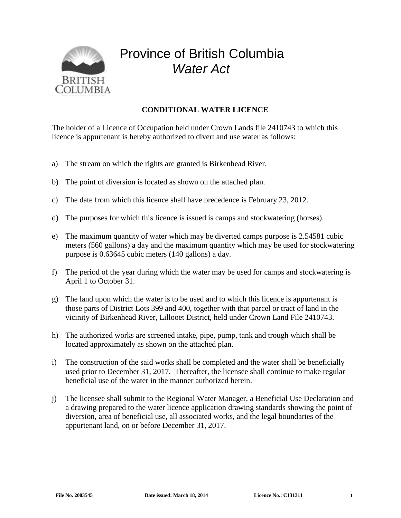

## Province of British Columbia *Water Act*

## **CONDITIONAL WATER LICENCE**

The holder of a Licence of Occupation held under Crown Lands file 2410743 to which this licence is appurtenant is hereby authorized to divert and use water as follows:

- a) The stream on which the rights are granted is Birkenhead River.
- b) The point of diversion is located as shown on the attached plan.
- c) The date from which this licence shall have precedence is February 23, 2012.
- d) The purposes for which this licence is issued is camps and stockwatering (horses).
- e) The maximum quantity of water which may be diverted camps purpose is 2.54581 cubic meters (560 gallons) a day and the maximum quantity which may be used for stockwatering purpose is 0.63645 cubic meters (140 gallons) a day.
- f) The period of the year during which the water may be used for camps and stockwatering is April 1 to October 31.
- g) The land upon which the water is to be used and to which this licence is appurtenant is those parts of District Lots 399 and 400, together with that parcel or tract of land in the vicinity of Birkenhead River, Lillooet District, held under Crown Land File 2410743.
- h) The authorized works are screened intake, pipe, pump, tank and trough which shall be located approximately as shown on the attached plan.
- i) The construction of the said works shall be completed and the water shall be beneficially used prior to December 31, 2017. Thereafter, the licensee shall continue to make regular beneficial use of the water in the manner authorized herein.
- j) The licensee shall submit to the Regional Water Manager, a Beneficial Use Declaration and a drawing prepared to the water licence application drawing standards showing the point of diversion, area of beneficial use, all associated works, and the legal boundaries of the appurtenant land, on or before December 31, 2017.